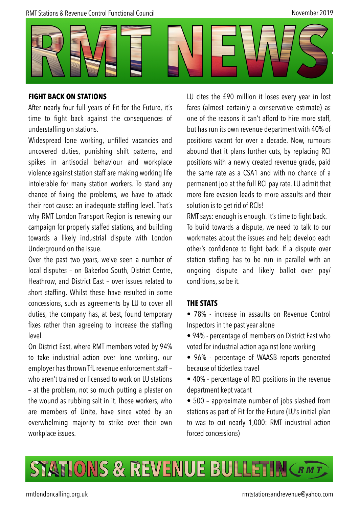

#### **FIGHT BACK ON STATIONS**

After nearly four full years of Fit for the Future, it's time to fight back against the consequences of understaffing on stations.

Widespread lone working, unfilled vacancies and uncovered duties, punishing shift patterns, and spikes in antisocial behaviour and workplace violence against station staff are making working life intolerable for many station workers. To stand any chance of fixing the problems, we have to attack their root cause: an inadequate staffing level. That's why RMT London Transport Region is renewing our campaign for properly staffed stations, and building towards a likely industrial dispute with London Underground on the issue.

Over the past two years, we've seen a number of local disputes – on Bakerloo South, District Centre, Heathrow, and District East – over issues related to short staffing. Whilst these have resulted in some concessions, such as agreements by LU to cover all duties, the company has, at best, found temporary fixes rather than agreeing to increase the staffing level.

On District East, where RMT members voted by 94% to take industrial action over lone working, our employer has thrown TfL revenue enforcement staff – who aren't trained or licensed to work on LU stations – at the problem, not so much putting a plaster on the wound as rubbing salt in it. Those workers, who are members of Unite, have since voted by an overwhelming majority to strike over their own workplace issues.

LU cites the £90 million it loses every year in lost fares (almost certainly a conservative estimate) as one of the reasons it can't afford to hire more staff, but has run its own revenue department with 40% of positions vacant for over a decade. Now, rumours abound that it plans further cuts, by replacing RCI positions with a newly created revenue grade, paid the same rate as a CSA1 and with no chance of a permanent job at the full RCI pay rate. LU admit that more fare evasion leads to more assaults and their solution is to get rid of RCIs!

RMT says: enough is enough. It's time to fight back.

To build towards a dispute, we need to talk to our workmates about the issues and help develop each other's confidence to fight back. If a dispute over station staffing has to be run in parallel with an ongoing dispute and likely ballot over pay/ conditions, so be it.

#### **THE STATS**

• 78% - increase in assaults on Revenue Control Inspectors in the past year alone

• 94% - percentage of members on District East who voted for industrial action against lone working

• 96% - percentage of WAASB reports generated because of ticketless travel

• 40% - percentage of RCI positions in the revenue department kept vacant

• 500 – approximate number of jobs slashed from stations as part of Fit for the Future (LU's initial plan to was to cut nearly 1,000: RMT industrial action forced concessions)